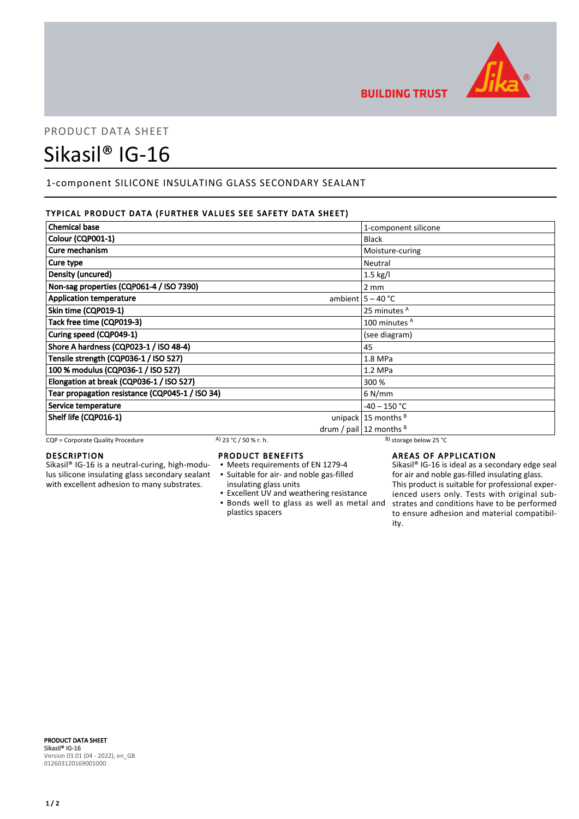

# PRODUCT DATA SHEET Sikasil® IG-16

# 1-component SILICONE INSULATING GLASS SECONDARY SEALANT

# TYPICAL PRODUCT DATA (FURTHER VALUES SEE SAFETY DATA SHEET)

| <b>Chemical base</b>                            | 1-component silicone           |
|-------------------------------------------------|--------------------------------|
| Colour (CQP001-1)                               | <b>Black</b>                   |
| Cure mechanism                                  | Moisture-curing                |
| Cure type                                       | Neutral                        |
| Density (uncured)                               | $1.5$ kg/l                     |
| Non-sag properties (CQP061-4 / ISO 7390)        | $2 \, \text{mm}$               |
| <b>Application temperature</b>                  | ambient $5 - 40$ °C            |
| Skin time (CQP019-1)                            | 25 minutes <sup>A</sup>        |
| Tack free time (CQP019-3)                       | 100 minutes <sup>A</sup>       |
| Curing speed (CQP049-1)                         | (see diagram)                  |
| Shore A hardness (CQP023-1 / ISO 48-4)          | 45                             |
| Tensile strength (CQP036-1 / ISO 527)           | $1.8$ MPa                      |
| 100 % modulus (CQP036-1 / ISO 527)              | $1.2$ MPa                      |
| Elongation at break (CQP036-1 / ISO 527)        | 300 %                          |
| Tear propagation resistance (CQP045-1 / ISO 34) | $6$ N/mm                       |
| Service temperature                             | $-40 - 150 °C$                 |
| Shelf life (CQP016-1)                           | unipack $15$ months $B$        |
|                                                 | drum / pail $ 12$ months $ B $ |

CQP = Corporate Quality Procedure A) 23 °C / 50 % r. h. B) storage below 25 °C

# DESCRIPTION

Sikasil® IG-16 is a neutral-curing, high-modulus silicone insulating glass secondary sealant with excellent adhesion to many substrates.

## PRODUCT BENEFITS

- Meets requirements of EN 1279-4
- Suitable for air- and noble gas-filled ▪
- insulating glass units
- Excellent UV and weathering resistance **.** Bonds well to glass as well as metal and plastics spacers

# AREAS OF APPLICATION

Sikasil® IG-16 is ideal as a secondary edge seal for air and noble gas-filled insulating glass. This product is suitable for professional experienced users only. Tests with original substrates and conditions have to be performed to ensure adhesion and material compatibility.

PRODUCT DATA SHEET Sikasil® IG-16 Version 03.01 (04 - 2022), en\_GB 012603120169001000